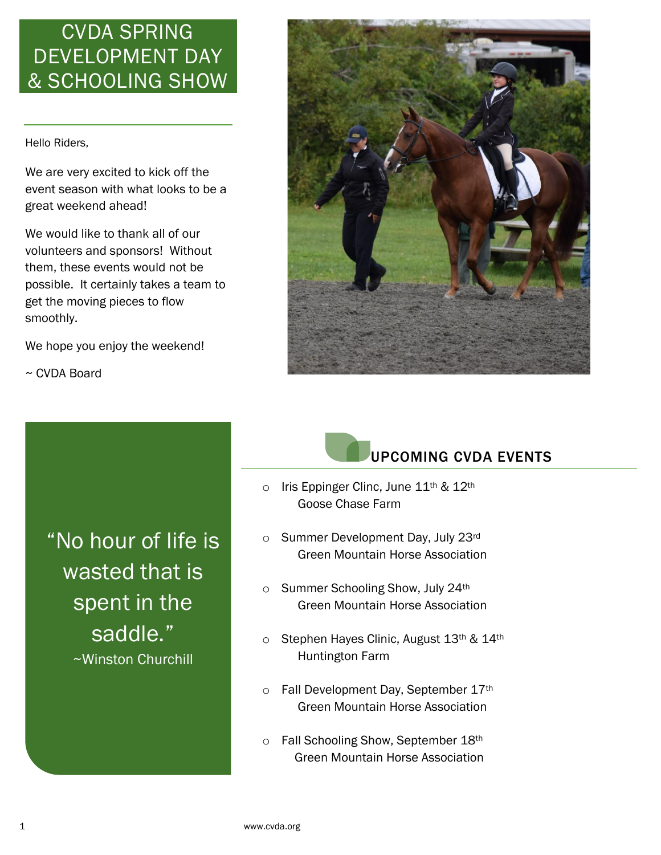## CVDA SPRING DEVELOPMENT DAY & SCHOOLING SHOW

Hello Riders,

We are very excited to kick off the event season with what looks to be a great weekend ahead!

We would like to thank all of our volunteers and sponsors! Without them, these events would not be possible. It certainly takes a team to get the moving pieces to flow smoothly.

We hope you enjoy the weekend!

~ CVDA Board

"No hour of life is wasted that is spent in the saddle." ~Winston Churchill





- $\circ$  Iris Eppinger Clinc, June 11<sup>th</sup> & 12<sup>th</sup> Goose Chase Farm
- o Summer Development Day, July 23rd Green Mountain Horse Association
- o Summer Schooling Show, July 24th Green Mountain Horse Association
- o Stephen Hayes Clinic, August 13th & 14th Huntington Farm
- o Fall Development Day, September 17th Green Mountain Horse Association
- o Fall Schooling Show, September 18th Green Mountain Horse Association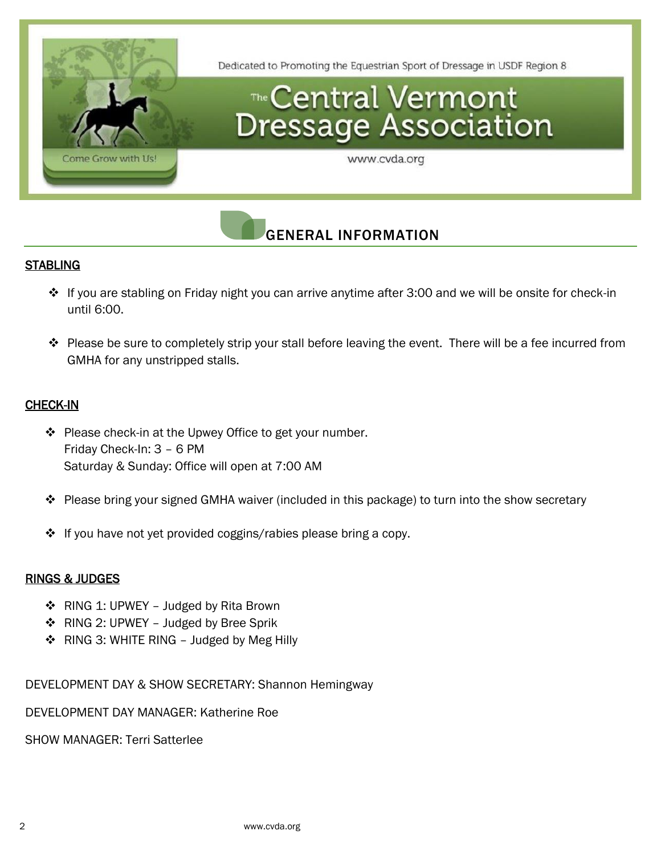

### GENERAL INFORMATION

### **STABLING**

- ❖ If you are stabling on Friday night you can arrive anytime after 3:00 and we will be onsite for check-in until 6:00.
- ❖ Please be sure to completely strip your stall before leaving the event. There will be a fee incurred from GMHA for any unstripped stalls.

### CHECK-IN

- ❖ Please check-in at the Upwey Office to get your number. Friday Check-In: 3 – 6 PM Saturday & Sunday: Office will open at 7:00 AM
- ❖ Please bring your signed GMHA waiver (included in this package) to turn into the show secretary
- ❖ If you have not yet provided coggins/rabies please bring a copy.

### RINGS & JUDGES

- ❖ RING 1: UPWEY Judged by Rita Brown
- ❖ RING 2: UPWEY Judged by Bree Sprik
- ❖ RING 3: WHITE RING Judged by Meg Hilly

DEVELOPMENT DAY & SHOW SECRETARY: Shannon Hemingway

DEVELOPMENT DAY MANAGER: Katherine Roe

SHOW MANAGER: Terri Satterlee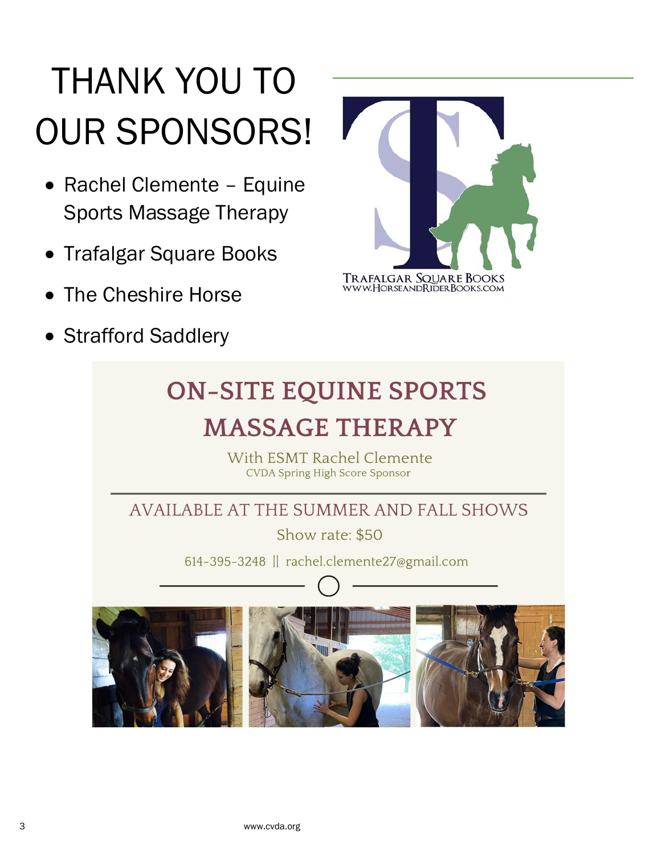# THANK YOU TO OUR SPONSORS!

- Rachel Clemente Equine Sports Massage Therapy
- Trafalgar Square Books
- The Cheshire Horse
- Strafford Saddlery



# **ON-SITE EQUINE SPORTS MASSAGE THERAPY**

With ESMT Rachel Clemente **CVDA Spring High Score Sponsor** 

AVAILABLE AT THE SUMMER AND FALL SHOWS

Show rate: \$50

614-395-3248 | rachel.clemente27@gmail.com

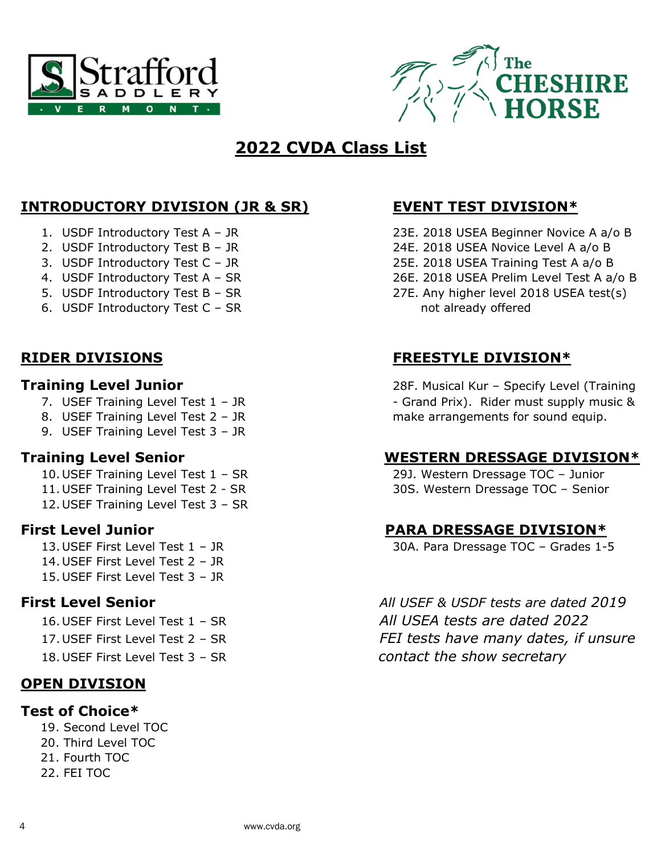



### **2022 CVDA Class List**

### **INTRODUCTORY DIVISION (JR & SR) EVENT TEST DIVISION\***

- 
- 
- 
- 
- 
- 6. USDF Introductory Test C SR not already offered

- 
- 
- 9. USEF Training Level Test 3 JR

- 
- 
- 12. USEF Training Level Test 3 SR

- 14. USEF First Level Test 2 JR
- 15. USEF First Level Test 3 JR
- 

- 
- 
- 

### **OPEN DIVISION**

### **Test of Choice\***

 19. Second Level TOC 20. Third Level TOC 21. Fourth TOC 22. FEI TOC

- 1. USDF Introductory Test A JR 23E. 2018 USEA Beginner Novice A a/o B
- 2. USDF Introductory Test B JR 24E. 2018 USEA Novice Level A a/o B
- 3. USDF Introductory Test C JR 25E. 2018 USEA Training Test A a/o B
- 4. USDF Introductory Test A SR 26E. 2018 USEA Prelim Level Test A a/o B
- 5. USDF Introductory Test B SR 27E. Any higher level 2018 USEA test(s)

### **RIDER DIVISIONS FREESTYLE DIVISION\***

**Training Level Junior** 28F. Musical Kur – Specify Level (Training 7. USEF Training Level Test 1 - JR - Crand Prix). Rider must supply music & 8. USEF Training Level Test 2 - JR make arrangements for sound equip.

### **Training Level Senior WESTERN DRESSAGE DIVISION\***

10. USEF Training Level Test 1 – SR 29J. Western Dressage TOC – Junior 11. USEF Training Level Test 2 - SR 30S. Western Dressage TOC – Senior

### **First Level Junior PARA DRESSAGE DIVISION\***

13. USEF First Level Test 1 – JR 30A. Para Dressage TOC – Grades 1-5

**First Level Senior** *All USEF & USDF tests are dated 2019* 16. USEF First Level Test 1 – SR *All USEA tests are dated 2022* 17. USEF First Level Test 2 – SR *FEI tests have many dates, if unsure* 18. USEF First Level Test 3 – SR *contact the show secretary*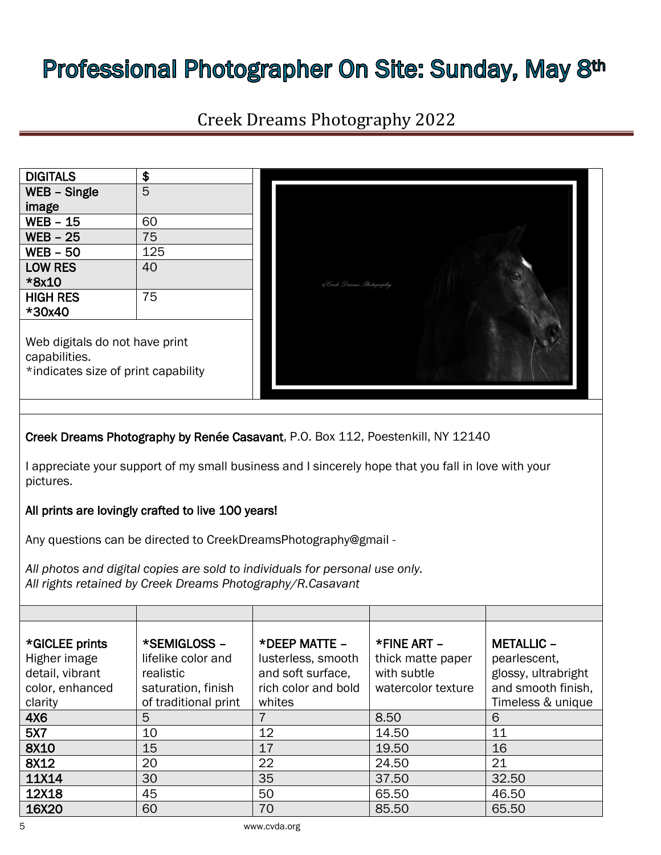# Professional Photographer On Site: Sunday, May 8th

| <b>Creek Dreams Photography 2022</b>                                                                                                                                                   |                                                                                               |                                                                                           |                                                                       |                                                                                                     |  |
|----------------------------------------------------------------------------------------------------------------------------------------------------------------------------------------|-----------------------------------------------------------------------------------------------|-------------------------------------------------------------------------------------------|-----------------------------------------------------------------------|-----------------------------------------------------------------------------------------------------|--|
|                                                                                                                                                                                        |                                                                                               |                                                                                           |                                                                       |                                                                                                     |  |
| <b>DIGITALS</b>                                                                                                                                                                        | \$                                                                                            |                                                                                           |                                                                       |                                                                                                     |  |
| WEB – Single<br>image                                                                                                                                                                  | 5                                                                                             |                                                                                           |                                                                       |                                                                                                     |  |
| WEB - 15                                                                                                                                                                               | 60                                                                                            |                                                                                           |                                                                       |                                                                                                     |  |
| <b>WEB - 25</b>                                                                                                                                                                        | 75                                                                                            |                                                                                           |                                                                       |                                                                                                     |  |
| <b>WEB - 50</b>                                                                                                                                                                        | 125                                                                                           |                                                                                           |                                                                       |                                                                                                     |  |
| <b>LOW RES</b><br>*8x10                                                                                                                                                                | 40                                                                                            | @Creek Dreams Thotography                                                                 |                                                                       |                                                                                                     |  |
| <b>HIGH RES</b><br>*30x40                                                                                                                                                              | 75                                                                                            |                                                                                           |                                                                       |                                                                                                     |  |
| Web digitals do not have print<br>capabilities.<br>*indicates size of print capability                                                                                                 |                                                                                               |                                                                                           |                                                                       |                                                                                                     |  |
| Creek Dreams Photography by Renée Casavant, P.O. Box 112, Poestenkill, NY 12140<br>I appreciate your support of my small business and I sincerely hope that you fall in love with your |                                                                                               |                                                                                           |                                                                       |                                                                                                     |  |
| pictures.                                                                                                                                                                              |                                                                                               |                                                                                           |                                                                       |                                                                                                     |  |
| All prints are lovingly crafted to live 100 years!                                                                                                                                     |                                                                                               |                                                                                           |                                                                       |                                                                                                     |  |
| Any questions can be directed to CreekDreamsPhotography@gmail -                                                                                                                        |                                                                                               |                                                                                           |                                                                       |                                                                                                     |  |
| All photos and digital copies are sold to individuals for personal use only.<br>All rights retained by Creek Dreams Photography/R.Casavant                                             |                                                                                               |                                                                                           |                                                                       |                                                                                                     |  |
|                                                                                                                                                                                        |                                                                                               |                                                                                           |                                                                       |                                                                                                     |  |
| *GICLEE prints<br>Higher image<br>detail, vibrant<br>color, enhanced<br>clarity                                                                                                        | *SEMIGLOSS -<br>lifelike color and<br>realistic<br>saturation, finish<br>of traditional print | *DEEP MATTE -<br>lusterless, smooth<br>and soft surface,<br>rich color and bold<br>whites | *FINE ART -<br>thick matte paper<br>with subtle<br>watercolor texture | <b>METALLIC -</b><br>pearlescent,<br>glossy, ultrabright<br>and smooth finish,<br>Timeless & unique |  |
| 4X6                                                                                                                                                                                    | 5                                                                                             | $\overline{7}$                                                                            | 8.50                                                                  | 6                                                                                                   |  |
| 5X7                                                                                                                                                                                    | 10                                                                                            | 12                                                                                        | 14.50                                                                 | 11                                                                                                  |  |
| 8X10                                                                                                                                                                                   | 15                                                                                            | 17                                                                                        | 19.50                                                                 | 16                                                                                                  |  |
| 8X12                                                                                                                                                                                   | 20                                                                                            | 22                                                                                        | 24.50                                                                 | 21                                                                                                  |  |
| 11X14                                                                                                                                                                                  | 30                                                                                            | 35                                                                                        | 37.50                                                                 | 32.50                                                                                               |  |
| 12X18                                                                                                                                                                                  | 45                                                                                            | 50                                                                                        | 65.50                                                                 | 46.50                                                                                               |  |
| 16X20                                                                                                                                                                                  | 60                                                                                            | 70                                                                                        | 85.50                                                                 | 65.50                                                                                               |  |